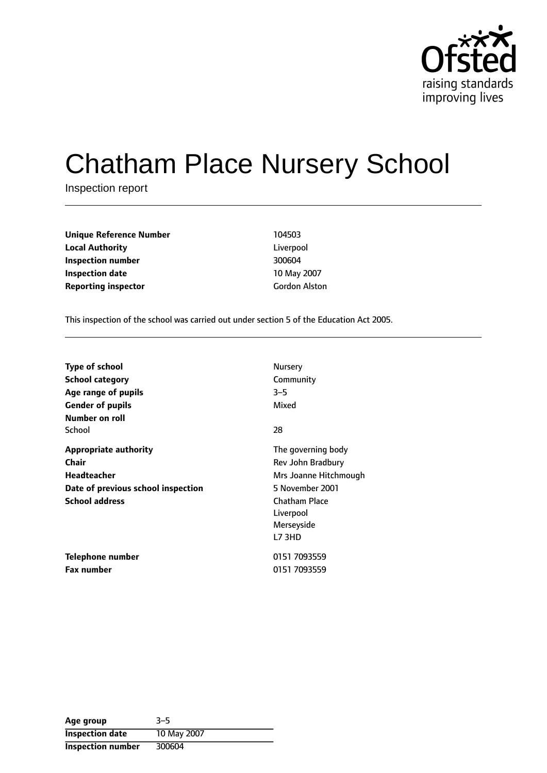

# Chatham Place Nursery School

Inspection report

| <b>Unique Reference Number</b> | 104503               |
|--------------------------------|----------------------|
| <b>Local Authority</b>         | Liverpool            |
| Inspection number              | 300604               |
| <b>Inspection date</b>         | 10 May 2007          |
| <b>Reporting inspector</b>     | <b>Gordon Alston</b> |

This inspection of the school was carried out under section 5 of the Education Act 2005.

| <b>Type of school</b>              | Nursery               |
|------------------------------------|-----------------------|
| <b>School category</b>             | Community             |
| Age range of pupils                | $3 - 5$               |
| <b>Gender of pupils</b>            | Mixed                 |
| Number on roll                     |                       |
| School                             | 28                    |
| <b>Appropriate authority</b>       | The governing body    |
| Chair                              | Rev John Bradbury     |
| <b>Headteacher</b>                 | Mrs Joanne Hitchmough |
| Date of previous school inspection | 5 November 2001       |
| <b>School address</b>              | <b>Chatham Place</b>  |
|                                    | Liverpool             |
|                                    | Merseyside            |
|                                    | L73HD                 |
| Telephone number                   | 0151 7093559          |
| <b>Fax number</b>                  | 0151 7093559          |

| Age group              | $3 - 5$     |
|------------------------|-------------|
| <b>Inspection date</b> | 10 May 2007 |
| Inspection number      | 300604      |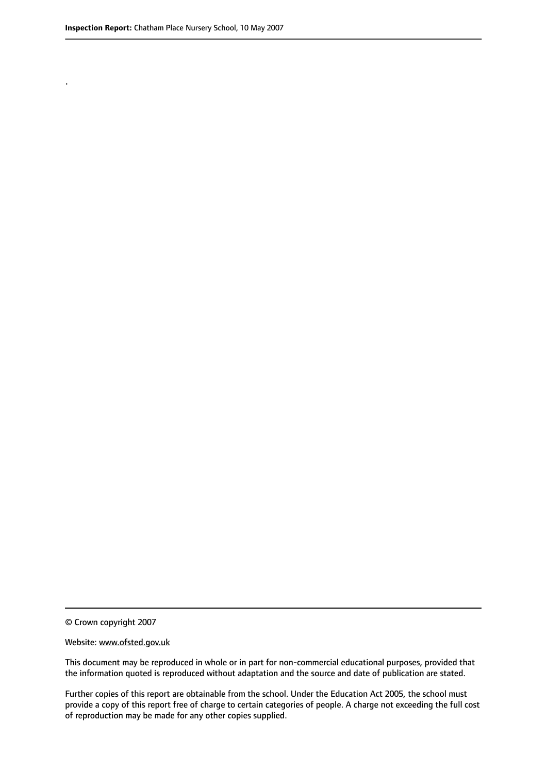.

© Crown copyright 2007

#### Website: www.ofsted.gov.uk

This document may be reproduced in whole or in part for non-commercial educational purposes, provided that the information quoted is reproduced without adaptation and the source and date of publication are stated.

Further copies of this report are obtainable from the school. Under the Education Act 2005, the school must provide a copy of this report free of charge to certain categories of people. A charge not exceeding the full cost of reproduction may be made for any other copies supplied.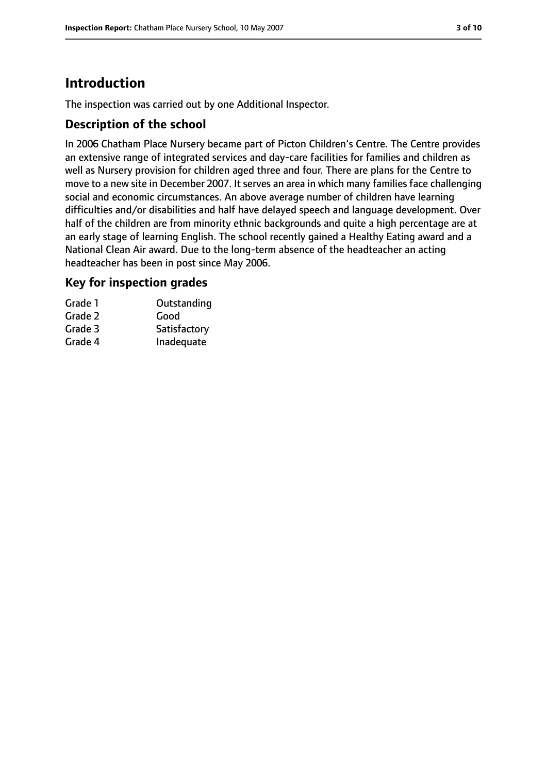# **Introduction**

The inspection was carried out by one Additional Inspector.

#### **Description of the school**

In 2006 Chatham Place Nursery became part of Picton Children's Centre. The Centre provides an extensive range of integrated services and day-care facilities for families and children as well as Nursery provision for children aged three and four. There are plans for the Centre to move to a new site in December 2007. It serves an area in which many families face challenging social and economic circumstances. An above average number of children have learning difficulties and/or disabilities and half have delayed speech and language development. Over half of the children are from minority ethnic backgrounds and quite a high percentage are at an early stage of learning English. The school recently gained a Healthy Eating award and a National Clean Air award. Due to the long-term absence of the headteacher an acting headteacher has been in post since May 2006.

#### **Key for inspection grades**

| Grade 1 | Outstanding  |
|---------|--------------|
| Grade 2 | Good         |
| Grade 3 | Satisfactory |
| Grade 4 | Inadequate   |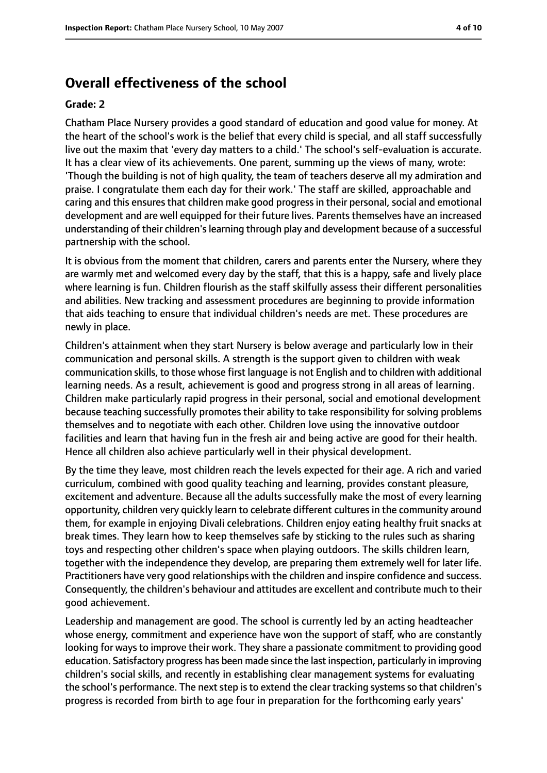## **Overall effectiveness of the school**

#### **Grade: 2**

Chatham Place Nursery provides a good standard of education and good value for money. At the heart of the school's work is the belief that every child is special, and all staff successfully live out the maxim that 'every day matters to a child.' The school's self-evaluation is accurate. It has a clear view of its achievements. One parent, summing up the views of many, wrote: 'Though the building is not of high quality, the team of teachers deserve all my admiration and praise. I congratulate them each day for their work.' The staff are skilled, approachable and caring and this ensures that children make good progress in their personal, social and emotional development and are well equipped for their future lives. Parents themselves have an increased understanding of their children'slearning through play and development because of a successful partnership with the school.

It is obvious from the moment that children, carers and parents enter the Nursery, where they are warmly met and welcomed every day by the staff, that this is a happy, safe and lively place where learning is fun. Children flourish as the staff skilfully assess their different personalities and abilities. New tracking and assessment procedures are beginning to provide information that aids teaching to ensure that individual children's needs are met. These procedures are newly in place.

Children's attainment when they start Nursery is below average and particularly low in their communication and personal skills. A strength is the support given to children with weak communication skills, to those whose first language is not English and to children with additional learning needs. As a result, achievement is good and progress strong in all areas of learning. Children make particularly rapid progress in their personal, social and emotional development because teaching successfully promotes their ability to take responsibility for solving problems themselves and to negotiate with each other. Children love using the innovative outdoor facilities and learn that having fun in the fresh air and being active are good for their health. Hence all children also achieve particularly well in their physical development.

By the time they leave, most children reach the levels expected for their age. A rich and varied curriculum, combined with good quality teaching and learning, provides constant pleasure, excitement and adventure. Because all the adults successfully make the most of every learning opportunity, children very quickly learn to celebrate different cultures in the community around them, for example in enjoying Divali celebrations. Children enjoy eating healthy fruit snacks at break times. They learn how to keep themselves safe by sticking to the rules such as sharing toys and respecting other children's space when playing outdoors. The skills children learn, together with the independence they develop, are preparing them extremely well for later life. Practitioners have very good relationships with the children and inspire confidence and success. Consequently, the children's behaviour and attitudes are excellent and contribute much to their good achievement.

Leadership and management are good. The school is currently led by an acting headteacher whose energy, commitment and experience have won the support of staff, who are constantly looking for ways to improve their work. They share a passionate commitment to providing good education. Satisfactory progress has been made since the last inspection, particularly in improving children's social skills, and recently in establishing clear management systems for evaluating the school's performance. The next step is to extend the clear tracking systems so that children's progress is recorded from birth to age four in preparation for the forthcoming early years'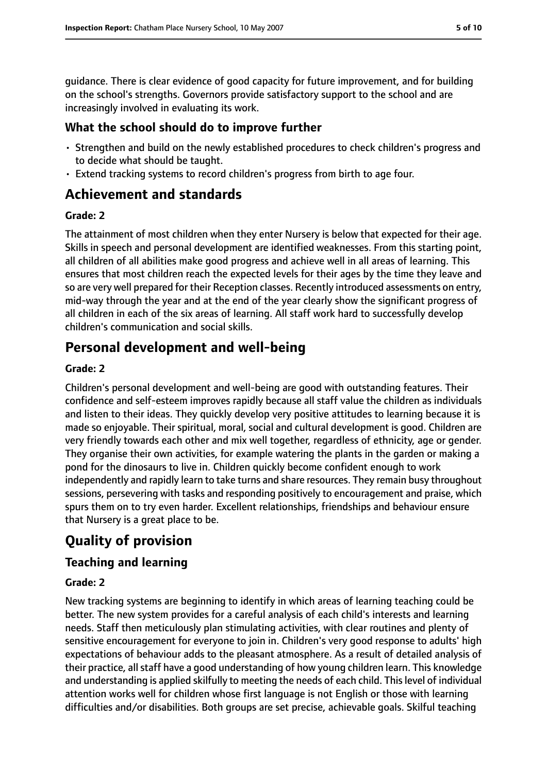guidance. There is clear evidence of good capacity for future improvement, and for building on the school's strengths. Governors provide satisfactory support to the school and are increasingly involved in evaluating its work.

#### **What the school should do to improve further**

- Strengthen and build on the newly established procedures to check children's progress and to decide what should be taught.
- Extend tracking systems to record children's progress from birth to age four.

# **Achievement and standards**

#### **Grade: 2**

The attainment of most children when they enter Nursery is below that expected for their age. Skills in speech and personal development are identified weaknesses. From this starting point, all children of all abilities make good progress and achieve well in all areas of learning. This ensures that most children reach the expected levels for their ages by the time they leave and so are very well prepared for their Reception classes. Recently introduced assessments on entry, mid-way through the year and at the end of the year clearly show the significant progress of all children in each of the six areas of learning. All staff work hard to successfully develop children's communication and social skills.

# **Personal development and well-being**

#### **Grade: 2**

Children's personal development and well-being are good with outstanding features. Their confidence and self-esteem improves rapidly because all staff value the children as individuals and listen to their ideas. They quickly develop very positive attitudes to learning because it is made so enjoyable. Their spiritual, moral, social and cultural development is good. Children are very friendly towards each other and mix well together, regardless of ethnicity, age or gender. They organise their own activities, for example watering the plants in the garden or making a pond for the dinosaurs to live in. Children quickly become confident enough to work independently and rapidly learn to take turns and share resources. They remain busy throughout sessions, persevering with tasks and responding positively to encouragement and praise, which spurs them on to try even harder. Excellent relationships, friendships and behaviour ensure that Nursery is a great place to be.

# **Quality of provision**

### **Teaching and learning**

#### **Grade: 2**

New tracking systems are beginning to identify in which areas of learning teaching could be better. The new system provides for a careful analysis of each child's interests and learning needs. Staff then meticulously plan stimulating activities, with clear routines and plenty of sensitive encouragement for everyone to join in. Children's very good response to adults' high expectations of behaviour adds to the pleasant atmosphere. As a result of detailed analysis of their practice, all staff have a good understanding of how young children learn. This knowledge and understanding is applied skilfully to meeting the needs of each child. Thislevel of individual attention works well for children whose first language is not English or those with learning difficulties and/or disabilities. Both groups are set precise, achievable goals. Skilful teaching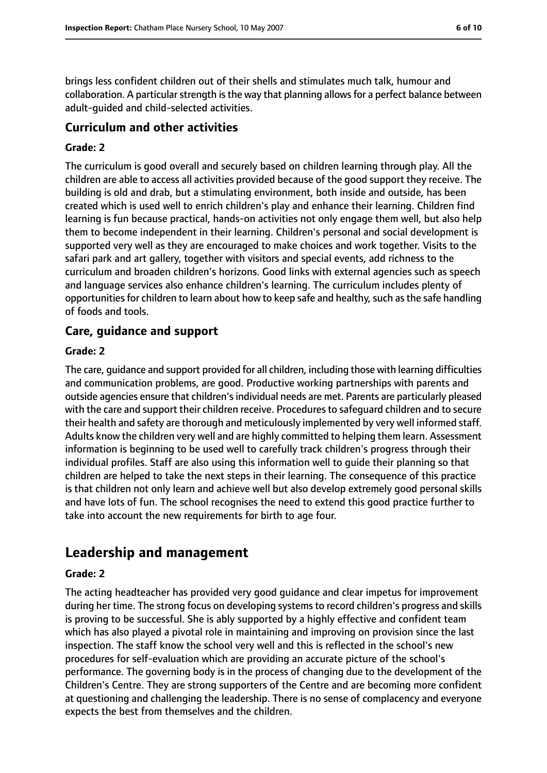brings less confident children out of their shells and stimulates much talk, humour and collaboration. A particular strength is the way that planning allows for a perfect balance between adult-guided and child-selected activities.

#### **Curriculum and other activities**

#### **Grade: 2**

The curriculum is good overall and securely based on children learning through play. All the children are able to access all activities provided because of the good support they receive. The building is old and drab, but a stimulating environment, both inside and outside, has been created which is used well to enrich children's play and enhance their learning. Children find learning is fun because practical, hands-on activities not only engage them well, but also help them to become independent in their learning. Children's personal and social development is supported very well as they are encouraged to make choices and work together. Visits to the safari park and art gallery, together with visitors and special events, add richness to the curriculum and broaden children's horizons. Good links with external agencies such as speech and language services also enhance children's learning. The curriculum includes plenty of opportunities for children to learn about how to keep safe and healthy, such as the safe handling of foods and tools.

#### **Care, guidance and support**

#### **Grade: 2**

The care, guidance and support provided for all children, including those with learning difficulties and communication problems, are good. Productive working partnerships with parents and outside agencies ensure that children'sindividual needs are met. Parents are particularly pleased with the care and support their children receive. Proceduresto safeguard children and to secure their health and safety are thorough and meticulously implemented by very well informed staff. Adults know the children very well and are highly committed to helping them learn. Assessment information is beginning to be used well to carefully track children's progress through their individual profiles. Staff are also using this information well to guide their planning so that children are helped to take the next steps in their learning. The consequence of this practice is that children not only learn and achieve well but also develop extremely good personal skills and have lots of fun. The school recognises the need to extend this good practice further to take into account the new requirements for birth to age four.

## **Leadership and management**

#### **Grade: 2**

The acting headteacher has provided very good guidance and clear impetus for improvement during her time. The strong focus on developing systemsto record children's progress and skills is proving to be successful. She is ably supported by a highly effective and confident team which has also played a pivotal role in maintaining and improving on provision since the last inspection. The staff know the school very well and this is reflected in the school's new procedures for self-evaluation which are providing an accurate picture of the school's performance. The governing body is in the process of changing due to the development of the Children's Centre. They are strong supporters of the Centre and are becoming more confident at questioning and challenging the leadership. There is no sense of complacency and everyone expects the best from themselves and the children.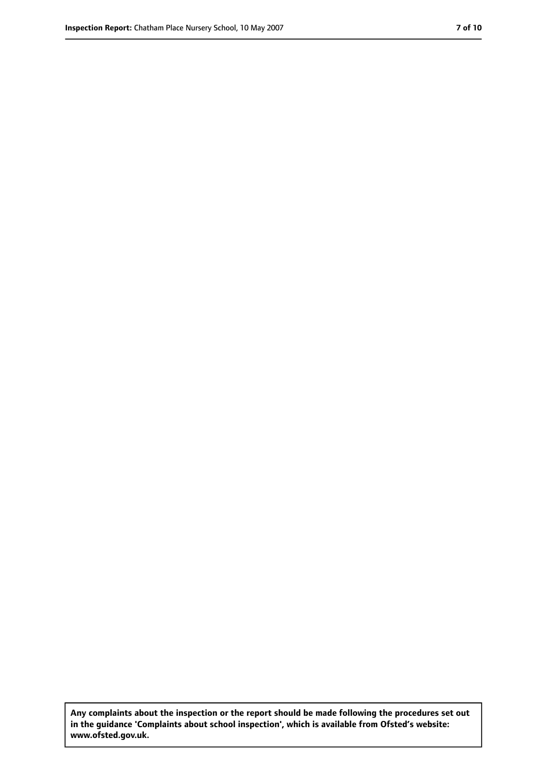**Any complaints about the inspection or the report should be made following the procedures set out in the guidance 'Complaints about school inspection', which is available from Ofsted's website: www.ofsted.gov.uk.**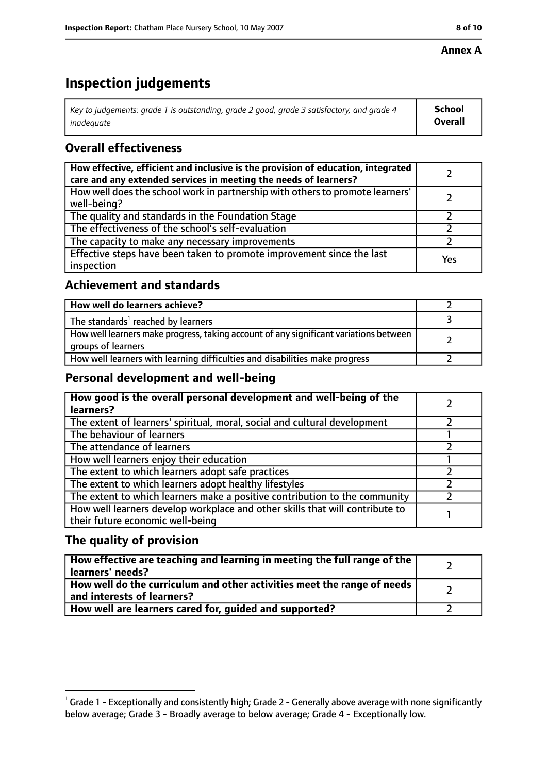#### **Annex A**

# **Inspection judgements**

| Key to judgements: grade 1 is outstanding, grade 2 good, grade 3 satisfactory, and grade 4 | <b>School</b>  |
|--------------------------------------------------------------------------------------------|----------------|
| inadeauate                                                                                 | <b>Overall</b> |

## **Overall effectiveness**

| How effective, efficient and inclusive is the provision of education, integrated<br>care and any extended services in meeting the needs of learners? |     |
|------------------------------------------------------------------------------------------------------------------------------------------------------|-----|
| How well does the school work in partnership with others to promote learners'<br>well-being?                                                         |     |
| The quality and standards in the Foundation Stage                                                                                                    |     |
| The effectiveness of the school's self-evaluation                                                                                                    |     |
| The capacity to make any necessary improvements                                                                                                      |     |
| Effective steps have been taken to promote improvement since the last<br>inspection                                                                  | Yes |

### **Achievement and standards**

| How well do learners achieve?                                                                               |  |
|-------------------------------------------------------------------------------------------------------------|--|
| The standards <sup>1</sup> reached by learners                                                              |  |
| How well learners make progress, taking account of any significant variations between<br>groups of learners |  |
| How well learners with learning difficulties and disabilities make progress                                 |  |

### **Personal development and well-being**

| How good is the overall personal development and well-being of the<br>learners?                                  |  |
|------------------------------------------------------------------------------------------------------------------|--|
| The extent of learners' spiritual, moral, social and cultural development                                        |  |
| The behaviour of learners                                                                                        |  |
| The attendance of learners                                                                                       |  |
| How well learners enjoy their education                                                                          |  |
| The extent to which learners adopt safe practices                                                                |  |
| The extent to which learners adopt healthy lifestyles                                                            |  |
| The extent to which learners make a positive contribution to the community                                       |  |
| How well learners develop workplace and other skills that will contribute to<br>their future economic well-being |  |

### **The quality of provision**

| How effective are teaching and learning in meeting the full range of the<br>learners' needs?          |  |
|-------------------------------------------------------------------------------------------------------|--|
| How well do the curriculum and other activities meet the range of needs<br>and interests of learners? |  |
| How well are learners cared for, quided and supported?                                                |  |

 $^1$  Grade 1 - Exceptionally and consistently high; Grade 2 - Generally above average with none significantly below average; Grade 3 - Broadly average to below average; Grade 4 - Exceptionally low.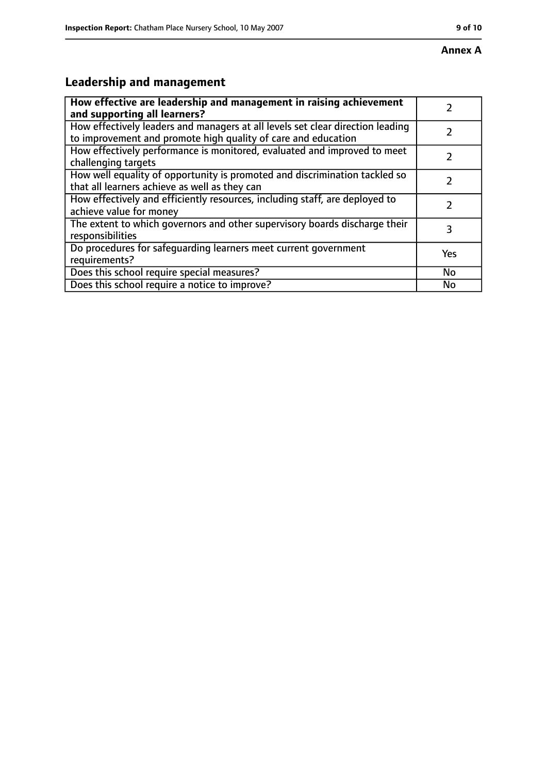# **Leadership and management**

| How effective are leadership and management in raising achievement<br>and supporting all learners?                                              |           |
|-------------------------------------------------------------------------------------------------------------------------------------------------|-----------|
| How effectively leaders and managers at all levels set clear direction leading<br>to improvement and promote high quality of care and education |           |
| How effectively performance is monitored, evaluated and improved to meet<br>challenging targets                                                 |           |
| How well equality of opportunity is promoted and discrimination tackled so<br>that all learners achieve as well as they can                     |           |
| How effectively and efficiently resources, including staff, are deployed to<br>achieve value for money                                          |           |
| The extent to which governors and other supervisory boards discharge their<br>responsibilities                                                  | 3         |
| Do procedures for safequarding learners meet current government<br>requirements?                                                                | Yes       |
| Does this school require special measures?                                                                                                      | <b>No</b> |
| Does this school require a notice to improve?                                                                                                   | No        |